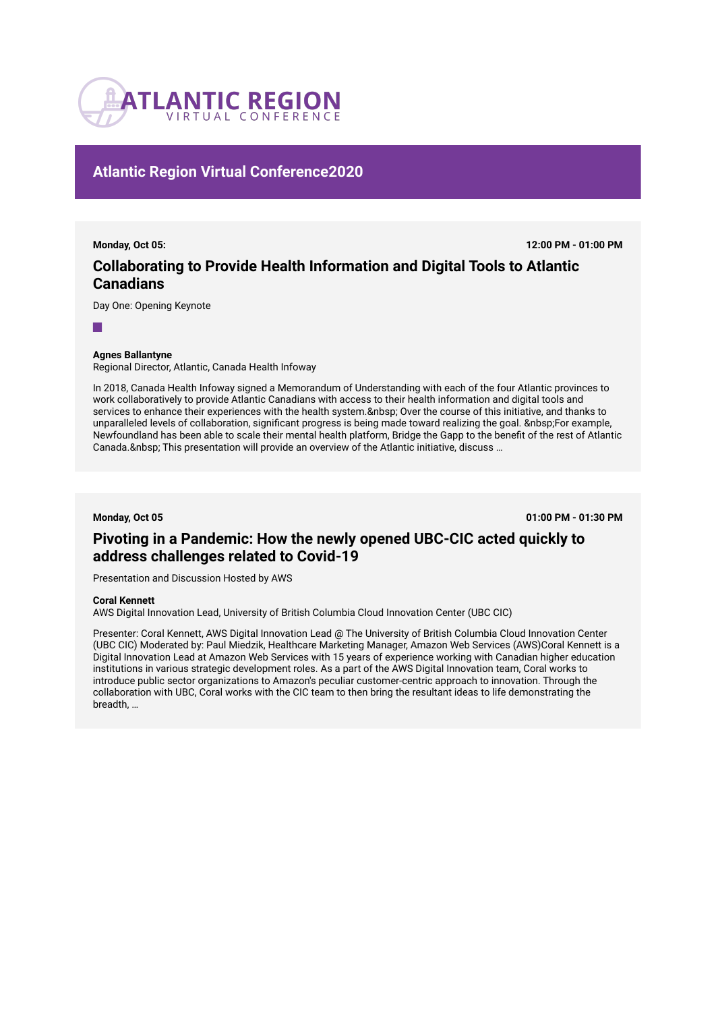

## **Atlantic Region Virtual Conference2020**

**Monday, Oct 05: 12:00 PM - 01:00 PM**

# **Collaborating to Provide Health Information and Digital Tools to Atlantic Canadians**

Day One: Opening Keynote

## **Agnes Ballantyne**

Regional Director, Atlantic, Canada Health Infoway

In 2018, Canada Health Infoway signed a Memorandum of Understanding with each of the four Atlantic provinces to work collaboratively to provide Atlantic Canadians with access to their health information and digital tools and services to enhance their experiences with the health system. & nbsp; Over the course of this initiative, and thanks to unparalleled levels of collaboration, significant progress is being made toward realizing the goal. For example, Newfoundland has been able to scale their mental health platform, Bridge the Gapp to the benefit of the rest of Atlantic Canada. This presentation will provide an overview of the Atlantic initiative, discuss ...

**Monday, Oct 05 01:00 PM - 01:30 PM**

# **Pivoting in a Pandemic: How the newly opened UBC-CIC acted quickly to address challenges related to Covid-19**

Presentation and Discussion Hosted by AWS

### **Coral Kennett**

AWS Digital Innovation Lead, University of British Columbia Cloud Innovation Center (UBC CIC)

Presenter: Coral Kennett, AWS Digital Innovation Lead @ The University of British Columbia Cloud Innovation Center (UBC CIC) Moderated by: Paul Miedzik, Healthcare Marketing Manager, Amazon Web Services (AWS)Coral Kennett is a Digital Innovation Lead at Amazon Web Services with 15 years of experience working with Canadian higher education institutions in various strategic development roles. As a part of the AWS Digital Innovation team, Coral works to introduce public sector organizations to Amazon's peculiar customer-centric approach to innovation. Through the collaboration with UBC, Coral works with the CIC team to then bring the resultant ideas to life demonstrating the breadth, …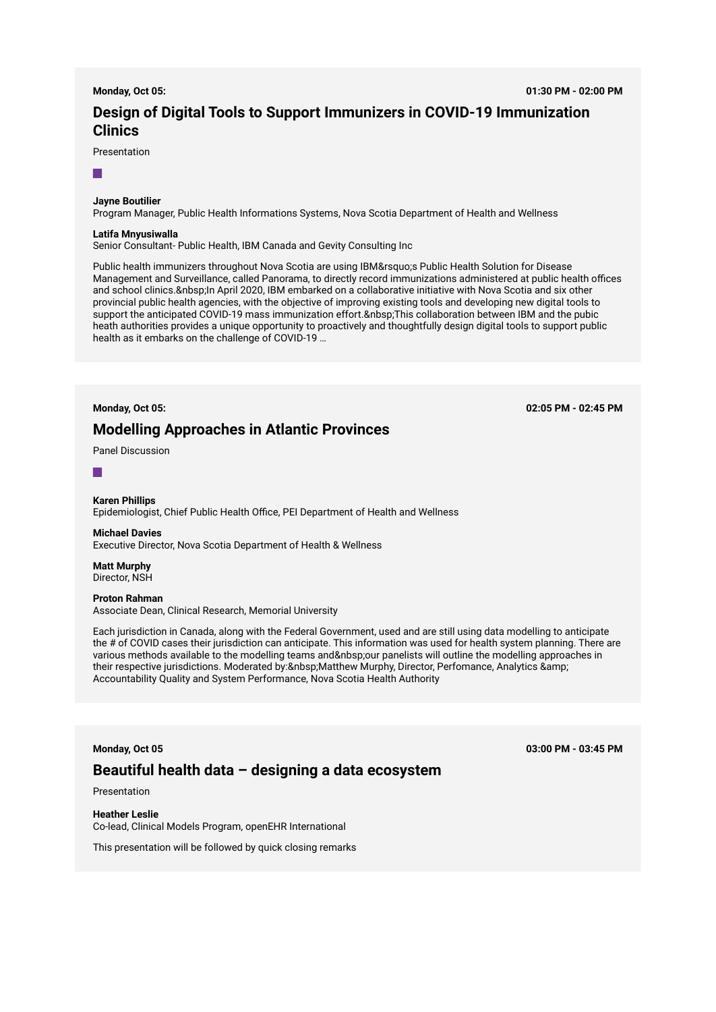# **Design of Digital Tools to Support Immunizers in COVID-19 Immunization Clinics**

Presentation

r.

### **Jayne Boutilier**

Program Manager, Public Health Informations Systems, Nova Scotia Department of Health and Wellness

#### **Latifa Mnyusiwalla**

Senior Consultant- Public Health, IBM Canada and Gevity Consulting Inc

Public health immunizers throughout Nova Scotia are using IBM' SPublic Health Solution for Disease Management and Surveillance, called Panorama, to directly record immunizations administered at public health offices and school clinics. In April 2020, IBM embarked on a collaborative initiative with Nova Scotia and six other provincial public health agencies, with the objective of improving existing tools and developing new digital tools to support the anticipated COVID-19 mass immunization effort. & nbsp; This collaboration between IBM and the pubic heath authorities provides a unique opportunity to proactively and thoughtfully design digital tools to support public health as it embarks on the challenge of COVID-19 …

## **Modelling Approaches in Atlantic Provinces**

**Monday, Oct 05: 02:05 PM - 02:45 PM**

Panel Discussion



## **Karen Phillips**

Epidemiologist, Chief Public Health Office, PEI Department of Health and Wellness

## **Michael Davies**

Executive Director, Nova Scotia Department of Health & Wellness

**Matt Murphy**  Director, NSH

#### **Proton Rahman**

Associate Dean, Clinical Research, Memorial University

Each jurisdiction in Canada, along with the Federal Government, used and are still using data modelling to anticipate the # of COVID cases their jurisdiction can anticipate. This information was used for health system planning. There are various methods available to the modelling teams and our panelists will outline the modelling approaches in their respective jurisdictions. Moderated by: Matthew Murphy, Director, Perfomance, Analytics & Accountability Quality and System Performance, Nova Scotia Health Authority

## **Monday, Oct 05 03:00 PM - 03:45 PM**

## **Beautiful health data – designing a data ecosystem**

Presentation

**Heather Leslie**  Co-lead, Clinical Models Program, openEHR International

This presentation will be followed by quick closing remarks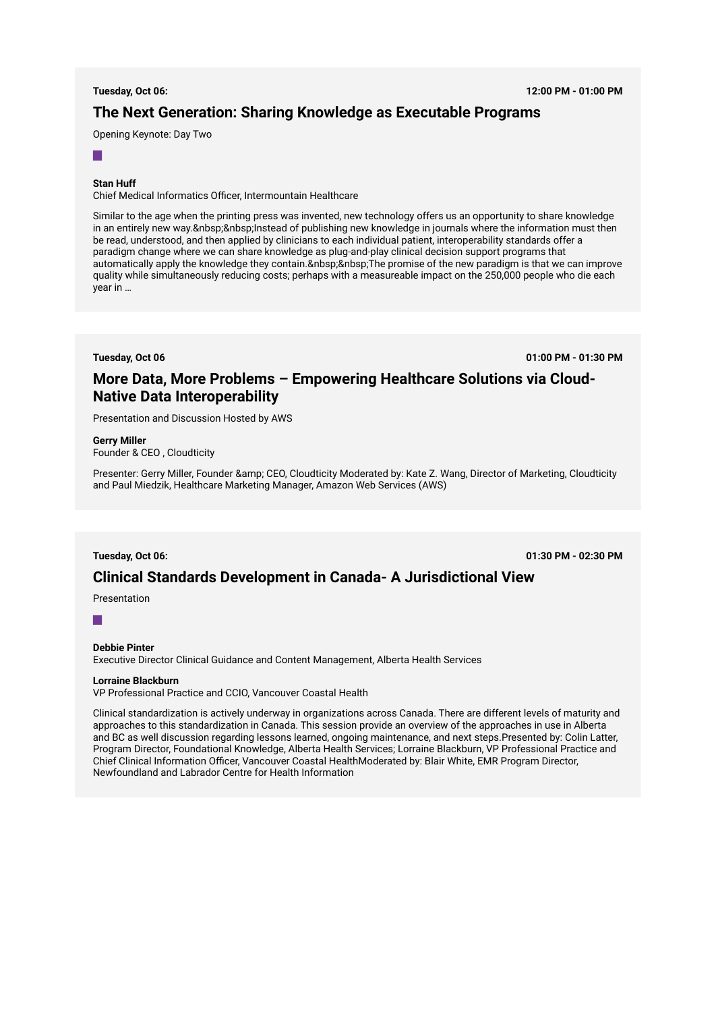## **The Next Generation: Sharing Knowledge as Executable Programs**

Opening Keynote: Day Two

### $\sim$

## **Stan Huff**

Chief Medical Informatics Officer, Intermountain Healthcare

Similar to the age when the printing press was invented, new technology offers us an opportunity to share knowledge in an entirely new way. Instead of publishing new knowledge in journals where the information must then be read, understood, and then applied by clinicians to each individual patient, interoperability standards offer a paradigm change where we can share knowledge as plug-and-play clinical decision support programs that automatically apply the knowledge they contain. The promise of the new paradigm is that we can improve quality while simultaneously reducing costs; perhaps with a measureable impact on the 250,000 people who die each year in …

**Tuesday, Oct 06 01:00 PM - 01:30 PM**

## **More Data, More Problems – Empowering Healthcare Solutions via Cloud-Native Data Interoperability**

Presentation and Discussion Hosted by AWS

#### **Gerry Miller**

Founder & CEO , Cloudticity

Presenter: Gerry Miller, Founder & CEO, Cloudticity Moderated by: Kate Z. Wang, Director of Marketing, Cloudticity and Paul Miedzik, Healthcare Marketing Manager, Amazon Web Services (AWS)

**Tuesday, Oct 06: 01:30 PM - 02:30 PM**

## **Clinical Standards Development in Canada- A Jurisdictional View**

Presentation

#### $\Box$

## **Debbie Pinter**

Executive Director Clinical Guidance and Content Management, Alberta Health Services

## **Lorraine Blackburn**

VP Professional Practice and CCIO, Vancouver Coastal Health

Clinical standardization is actively underway in organizations across Canada. There are different levels of maturity and approaches to this standardization in Canada. This session provide an overview of the approaches in use in Alberta and BC as well discussion regarding lessons learned, ongoing maintenance, and next steps.Presented by: Colin Latter, Program Director, Foundational Knowledge, Alberta Health Services; Lorraine Blackburn, VP Professional Practice and Chief Clinical Information Officer, Vancouver Coastal HealthModerated by: Blair White, EMR Program Director, Newfoundland and Labrador Centre for Health Information